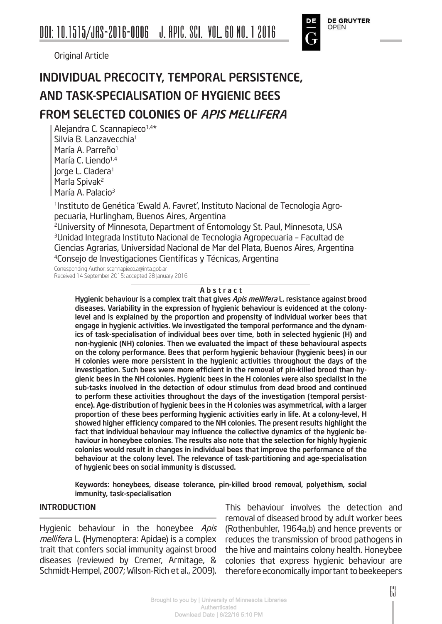Original Article

### INDIVIDUAL PRECOCITY, TEMPORAL PERSISTENCE, AND TASK-SPECIALISATION OF HYGIENIC BEES FROM SELECTED COLONIES OF APIS MELLIFERA

Alejandra C. Scannapieco<sup>1,4\*</sup> Silvia B. Lanzavecchia<sup>1</sup> María A. Parreño<sup>1</sup> María C. Liendo<sup>1,4</sup> lorge L. Cladera<sup>1</sup> Marla Spivak<sup>2</sup> María A. Palacio<sup>3</sup>

1Instituto de Genética 'Ewald A. Favret', Instituto Nacional de Tecnologia Agropecuaria, Hurlingham, Buenos Aires, Argentina

2University of Minnesota, Department of Entomology St. Paul, Minnesota, USA 3Unidad Integrada Instituto Nacional de Tecnologia Agropecuaria – Facultad de Ciencias Agrarias, Universidad Nacional de Mar del Plata, Buenos Aires, Argentina <sup>4</sup>Consejo de Investigaciones Científicas y Técnicas, Argentina

Corresponding Author: scannapieco.a@inta.gob.ar Received 14 September 2015; accepted 28 January 2016

#### A b s t r a c t

Hygienic behaviour is a complex trait that gives Apis mellifera L. resistance against brood diseases. Variability in the expression of hygienic behaviour is evidenced at the colonylevel and is explained by the proportion and propensity of individual worker bees that engage in hygienic activities. We investigated the temporal performance and the dynamics of task-specialisation of individual bees over time, both in selected hygienic (H) and non-hygienic (NH) colonies. Then we evaluated the impact of these behavioural aspects on the colony performance. Bees that perform hygienic behaviour (hygienic bees) in our H colonies were more persistent in the hygienic activities throughout the days of the investigation. Such bees were more efficient in the removal of pin-killed brood than hygienic bees in the NH colonies. Hygienic bees in the H colonies were also specialist in the sub-tasks involved in the detection of odour stimulus from dead brood and continued to perform these activities throughout the days of the investigation (temporal persistence). Age-distribution of hygienic bees in the H colonies was asymmetrical, with a larger proportion of these bees performing hygienic activities early in life. At a colony-level, H showed higher efficiency compared to the NH colonies. The present results highlight the fact that individual behaviour may influence the collective dynamics of the hygienic behaviour in honeybee colonies. The results also note that the selection for highly hygienic colonies would result in changes in individual bees that improve the performance of the behaviour at the colony level. The relevance of task-partitioning and age-specialisation of hygienic bees on social immunity is discussed.

Keywords: honeybees, disease tolerance, pin-killed brood removal, polyethism, social immunity, task-specialisation

#### INTRODUCTION

Hygienic behaviour in the honeybee Apis mellifera L. (Hymenoptera: Apidae) is a complex trait that confers social immunity against brood diseases (reviewed by Cremer, Armitage, & Schmidt-Hempel, 2007; Wilson-Rich et al., 2009).

This behaviour involves the detection and removal of diseased brood by adult worker bees (Rothenbuhler, 1964a,b) and hence prevents or reduces the transmission of brood pathogens in the hive and maintains colony health. Honeybee colonies that express hygienic behaviour are therefore economically important to beekeepers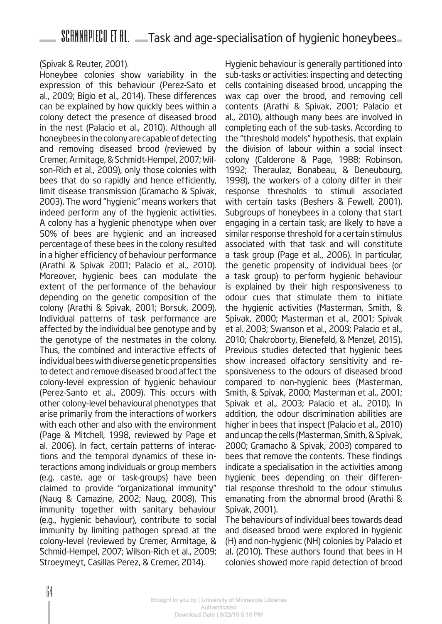#### (Spivak & Reuter, 2001).

Honeybee colonies show variability in the expression of this behaviour (Perez-Sato et al., 2009; Bigio et al., 2014). These differences can be explained by how quickly bees within a colony detect the presence of diseased brood in the nest (Palacio et al., 2010). Although all honeybees in the colony are capable of detecting and removing diseased brood (reviewed by Cremer, Armitage, & Schmidt-Hempel, 2007; Wilson-Rich et al., 2009), only those colonies with bees that do so rapidly and hence efficiently, limit disease transmission (Gramacho & Spivak, 2003). The word "hygienic" means workers that indeed perform any of the hygienic activities. A colony has a hygienic phenotype when over 50% of bees are hygienic and an increased percentage of these bees in the colony resulted in a higher efficiency of behaviour performance (Arathi & Spivak 2001; Palacio et al., 2010). Moreover, hygienic bees can modulate the extent of the performance of the behaviour depending on the genetic composition of the colony (Arathi & Spivak, 2001; Borsuk, 2009). Individual patterns of task performance are affected by the individual bee genotype and by the genotype of the nestmates in the colony. Thus, the combined and interactive effects of individual bees with diverse genetic propensities to detect and remove diseased brood affect the colony-level expression of hygienic behaviour (Perez-Santo et al., 2009). This occurs with other colony-level behavioural phenotypes that arise primarily from the interactions of workers with each other and also with the environment (Page & Mitchell, 1998, reviewed by Page et al. 2006). In fact, certain patterns of interactions and the temporal dynamics of these interactions among individuals or group members (e.g. caste, age or task-groups) have been claimed to provide "organizational immunity" (Naug & Camazine, 2002; Naug, 2008). This immunity together with sanitary behaviour (e.g., hygienic behaviour), contribute to social immunity by limiting pathogen spread at the colony-level (reviewed by Cremer, Armitage, & Schmid-Hempel, 2007; Wilson-Rich et al., 2009; Stroeymeyt, Casillas Perez, & Cremer, 2014).

Hygienic behaviour is generally partitioned into sub-tasks or activities: inspecting and detecting cells containing diseased brood, uncapping the wax cap over the brood, and removing cell contents (Arathi & Spivak, 2001; Palacio et al., 2010), although many bees are involved in completing each of the sub-tasks. According to the "threshold models" hypothesis, that explain the division of labour within a social insect colony (Calderone & Page, 1988; Robinson, 1992; Theraulaz, Bonabeau, & Deneubourg, 1998), the workers of a colony differ in their response thresholds to stimuli associated with certain tasks (Beshers & Fewell, 2001). Subgroups of honeybees in a colony that start engaging in a certain task, are likely to have a similar response threshold for a certain stimulus associated with that task and will constitute a task group (Page et al., 2006). In particular, the genetic propensity of individual bees (or a task group) to perform hygienic behaviour is explained by their high responsiveness to odour cues that stimulate them to initiate the hygienic activities (Masterman, Smith, & Spivak, 2000; Masterman et al., 2001; Spivak et al. 2003; Swanson et al., 2009; Palacio et al., 2010; Chakroborty, Bienefeld, & Menzel, 2015). Previous studies detected that hygienic bees show increased olfactory sensitivity and responsiveness to the odours of diseased brood compared to non-hygienic bees (Masterman, Smith, & Spivak, 2000; Masterman et al., 2001; Spivak et al., 2003; Palacio et al., 2010). In addition, the odour discrimination abilities are higher in bees that inspect (Palacio et al., 2010) and uncap the cells (Masterman, Smith, & Spivak, 2000; Gramacho & Spivak, 2003) compared to bees that remove the contents. These findings indicate a specialisation in the activities among hygienic bees depending on their differential response threshold to the odour stimulus emanating from the abnormal brood (Arathi & Spivak, 2001).

The behaviours of individual bees towards dead and diseased brood were explored in hygienic (H) and non-hygienic (NH) colonies by Palacio et al. (2010). These authors found that bees in H colonies showed more rapid detection of brood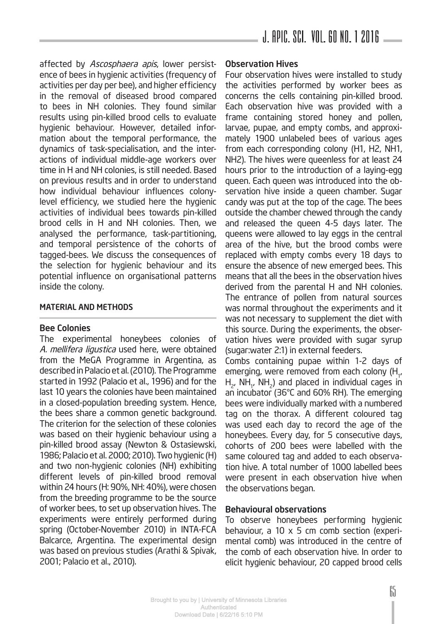affected by Ascosphaera apis, lower persistence of bees in hygienic activities (frequency of activities per day per bee), and higher efficiency in the removal of diseased brood compared to bees in NH colonies. They found similar results using pin-killed brood cells to evaluate hygienic behaviour. However, detailed information about the temporal performance, the dynamics of task-specialisation, and the interactions of individual middle-age workers over time in H and NH colonies, is still needed. Based on previous results and in order to understand how individual behaviour influences colonylevel efficiency, we studied here the hygienic activities of individual bees towards pin-killed brood cells in H and NH colonies. Then, we analysed the performance, task-partitioning, and temporal persistence of the cohorts of tagged-bees. We discuss the consequences of the selection for hygienic behaviour and its potential influence on organisational patterns inside the colony.

#### MATERIAL AND METHODS

#### Bee Colonies

The experimental honeybees colonies of A. mellifera ligustica used here, were obtained from the MeGA Programme in Argentina, as described in Palacio et al. (2010). The Programme started in 1992 (Palacio et al., 1996) and for the last 10 years the colonies have been maintained in a closed-population breeding system. Hence, the bees share a common genetic background. The criterion for the selection of these colonies was based on their hygienic behaviour using a pin-killed brood assay (Newton & Ostasiewski, 1986; Palacio et al. 2000; 2010). Two hygienic (H) and two non-hygienic colonies (NH) exhibiting different levels of pin-killed brood removal within 24 hours (H: 90%, NH: 40%), were chosen from the breeding programme to be the source of worker bees, to set up observation hives. The experiments were entirely performed during spring (October-November 2010) in INTA-FCA Balcarce, Argentina. The experimental design was based on previous studies (Arathi & Spivak, 2001; Palacio et al., 2010).

#### Observation Hives

Four observation hives were installed to study the activities performed by worker bees as concerns the cells containing pin-killed brood. Each observation hive was provided with a frame containing stored honey and pollen, larvae, pupae, and empty combs, and approximately 1900 unlabeled bees of various ages from each corresponding colony (H1, H2, NH1, NH2). The hives were queenless for at least 24 hours prior to the introduction of a laying-egg queen. Each queen was introduced into the observation hive inside a queen chamber. Sugar candy was put at the top of the cage. The bees outside the chamber chewed through the candy and released the queen 4-5 days later. The queens were allowed to lay eggs in the central area of the hive, but the brood combs were replaced with empty combs every 18 days to ensure the absence of new emerged bees. This means that all the bees in the observation hives derived from the parental H and NH colonies. The entrance of pollen from natural sources was normal throughout the experiments and it was not necessary to supplement the diet with this source. During the experiments, the observation hives were provided with sugar syrup (sugar:water 2:1) in external feeders.

Combs containing pupae within 1-2 days of emerging, were removed from each colony (H<sub>1</sub>,  ${\sf H}_{\sf 2^\prime}$  NH $_{\sf 1^\prime}$  NH $_{\sf 2}$ ) and placed in individual cages in an incubator (36°C and 60% RH). The emerging bees were individually marked with a numbered tag on the thorax. A different coloured tag was used each day to record the age of the honeybees. Every day, for 5 consecutive days, cohorts of 200 bees were labelled with the same coloured tag and added to each observation hive. A total number of 1000 labelled bees were present in each observation hive when the observations began.

#### Behavioural observations

To observe honeybees performing hygienic behaviour, a 10  $\times$  5 cm comb section (experimental comb) was introduced in the centre of the comb of each observation hive. In order to elicit hygienic behaviour, 20 capped brood cells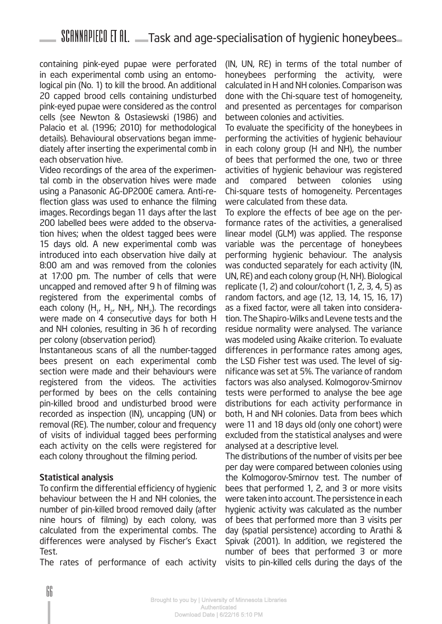containing pink-eyed pupae were perforated in each experimental comb using an entomological pin (No. 1) to kill the brood. An additional 20 capped brood cells containing undisturbed pink-eyed pupae were considered as the control cells (see Newton & Ostasiewski (1986) and Palacio et al. (1996; 2010) for methodological details). Behavioural observations began immediately after inserting the experimental comb in each observation hive.

Video recordings of the area of the experimental comb in the observation hives were made using a Panasonic AG-DP200E camera. Anti-reflection glass was used to enhance the filming images. Recordings began 11 days after the last 200 labelled bees were added to the observation hives; when the oldest tagged bees were 15 days old. A new experimental comb was introduced into each observation hive daily at 8:00 am and was removed from the colonies at 17:00 pm. The number of cells that were uncapped and removed after 9 h of filming was registered from the experimental combs of each colony (H<sub>1</sub>, H<sub>2</sub>, NH<sub>1</sub>, NH<sub>2</sub>). The recordings were made on 4 consecutive days for both H and NH colonies, resulting in 36 h of recording per colony (observation period).

Instantaneous scans of all the number-tagged bees present on each experimental comb section were made and their behaviours were registered from the videos. The activities performed by bees on the cells containing pin-killed brood and undisturbed brood were recorded as inspection (IN), uncapping (UN) or removal (RE). The number, colour and frequency of visits of individual tagged bees performing each activity on the cells were registered for each colony throughout the filming period.

#### Statistical analysis

To confirm the differential efficiency of hygienic behaviour between the H and NH colonies, the number of pin-killed brood removed daily (after nine hours of filming) by each colony, was calculated from the experimental combs. The differences were analysed by Fischer's Exact Test.

The rates of performance of each activity

(IN, UN, RE) in terms of the total number of honeybees performing the activity, were calculated in H and NH colonies. Comparison was done with the Chi-square test of homogeneity, and presented as percentages for comparison between colonies and activities.

To evaluate the specificity of the honeybees in performing the activities of hygienic behaviour in each colony group (H and NH), the number of bees that performed the one, two or three activities of hygienic behaviour was registered and compared between colonies using Chi-square tests of homogeneity. Percentages were calculated from these data.

To explore the effects of bee age on the performance rates of the activities, a generalised linear model (GLM) was applied. The response variable was the percentage of honeybees performing hygienic behaviour. The analysis was conducted separately for each activity (IN, UN, RE) and each colony group (H, NH). Biological replicate (1, 2) and colour/cohort (1, 2, 3, 4, 5) as random factors, and age (12, 13, 14, 15, 16, 17) as a fixed factor, were all taken into consideration. The Shapiro-Wilks and Levene tests and the residue normality were analysed. The variance was modeled using Akaike criterion. To evaluate differences in performance rates among ages, the LSD Fisher test was used. The level of significance was set at 5%. The variance of random factors was also analysed. Kolmogorov-Smirnov tests were performed to analyse the bee age distributions for each activity performance in both, H and NH colonies. Data from bees which were 11 and 18 days old (only one cohort) were excluded from the statistical analyses and were analysed at a descriptive level.

The distributions of the number of visits per bee per day were compared between colonies using the Kolmogorov-Smirnov test. The number of bees that performed 1, 2, and 3 or more visits were taken into account. The persistence in each hygienic activity was calculated as the number of bees that performed more than 3 visits per day (spatial persistence) according to Arathi & Spivak (2001). In addition, we registered the number of bees that performed 3 or more visits to pin-killed cells during the days of the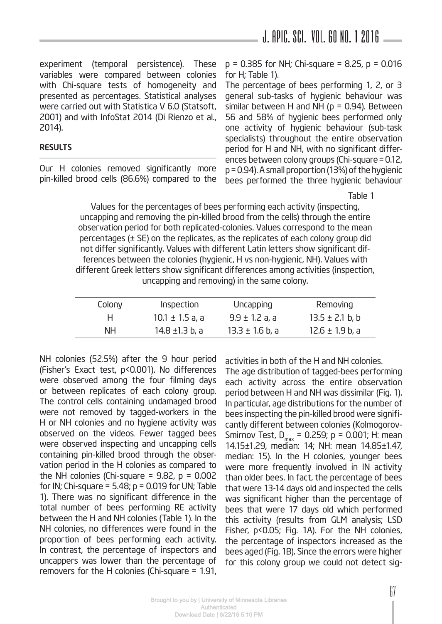### J. APIC. SCI. Vol. 60 No. 1 2016

experiment (temporal persistence). These variables were compared between colonies with Chi-square tests of homogeneity and presented as percentages. Statistical analyses were carried out with Statistica V 6.0 (Statsoft, 2001) and with InfoStat 2014 (Di Rienzo et al., 2014).

#### RESULTS

Our H colonies removed significantly more pin-killed brood cells (86.6%) compared to the p = 0.385 for NH; Chi-square = 8.25, p = 0.016 for H; Table 1).

The percentage of bees performing 1, 2, or 3 general sub-tasks of hygienic behaviour was similar between H and NH ( $p = 0.94$ ). Between 56 and 58% of hygienic bees performed only one activity of hygienic behaviour (sub-task specialists) throughout the entire observation period for H and NH, with no significant differences between colony groups (Chi-square=0.12, p=0.94). A small proportion (13%) of the hygienic bees performed the three hygienic behaviour

Table 1

Values for the percentages of bees performing each activity (inspecting, uncapping and removing the pin-killed brood from the cells) through the entire observation period for both replicated-colonies. Values correspond to the mean percentages (± SE) on the replicates, as the replicates of each colony group did not differ significantly. Values with different Latin letters show significant differences between the colonies (hygienic, H vs non-hygienic, NH). Values with different Greek letters show significant differences among activities (inspection, uncapping and removing) in the same colony.

| Colony | Inspection          | Uncapping           | Removing            |
|--------|---------------------|---------------------|---------------------|
| н      | $10.1 \pm 1.5$ a, a | $9.9 \pm 1.2$ a, a  | $13.5 \pm 2.1$ b, b |
| NН     | 14.8 ±1.3 b, a      | $13.3 \pm 1.6$ b, a | $12.6 \pm 1.9$ b, a |

NH colonies (52.5%) after the 9 hour period (Fisher's Exact test, p<0.001). No differences were observed among the four filming days or between replicates of each colony group. The control cells containing undamaged brood were not removed by tagged-workers in the H or NH colonies and no hygiene activity was observed on the videos. Fewer tagged bees were observed inspecting and uncapping cells containing pin-killed brood through the observation period in the H colonies as compared to the NH colonies (Chi-square =  $9.82$ ,  $p = 0.002$ for IN; Chi-square =  $5.48$ ;  $p = 0.019$  for UN; Table 1). There was no significant difference in the total number of bees performing RE activity between the H and NH colonies (Table 1). In the NH colonies, no differences were found in the proportion of bees performing each activity. In contrast, the percentage of inspectors and uncappers was lower than the percentage of removers for the H colonies (Chi-square = 1.91,

activities in both of the H and NH colonies.

The age distribution of tagged-bees performing each activity across the entire observation period between H and NH was dissimilar (Fig. 1). In particular, age distributions for the number of bees inspecting the pin-killed brood were significantly different between colonies (Kolmogorov-Smirnov Test,  $D_{\text{max}} = 0.259$ ;  $p = 0.001$ ; H: mean 14.15±1.29, median: 14; NH: mean 14.85±1.47, median: 15). In the H colonies, younger bees were more frequently involved in IN activity than older bees. In fact, the percentage of bees that were 13-14 days old and inspected the cells was significant higher than the percentage of bees that were 17 days old which performed this activity (results from GLM analysis; LSD Fisher, p<0.05; Fig. 1A). For the NH colonies, the percentage of inspectors increased as the bees aged (Fig. 1B). Since the errors were higher for this colony group we could not detect sig-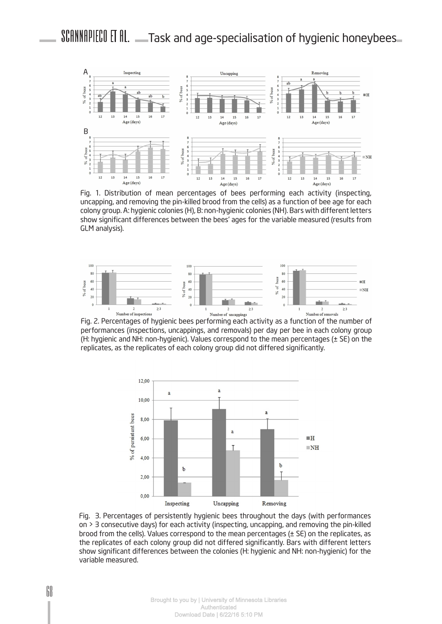

Fig. 1. Distribution of mean percentages of bees performing each activity (inspecting, uncapping, and removing the pin-killed brood from the cells) as a function of bee age for each colony group. A: hygienic colonies (H), B: non-hygienic colonies (NH). Bars with different letters show significant differences between the bees' ages for the variable measured (results from GLM analysis).



Fig. 2. Percentages of hygienic bees performing each activity as a function of the number of performances (inspections, uncappings, and removals) per day per bee in each colony group (H: hygienic and NH: non-hygienic). Values correspond to the mean percentages (± SE) on the replicates, as the replicates of each colony group did not differed significantly.



Fig. 3. Percentages of persistently hygienic bees throughout the days (with performances on > 3 consecutive days) for each activity (inspecting, uncapping, and removing the pin-killed brood from the cells). Values correspond to the mean percentages (± SE) on the replicates, as the replicates of each colony group did not differed significantly. Bars with different letters show significant differences between the colonies (H: hygienic and NH: non-hygienic) for the variable measured.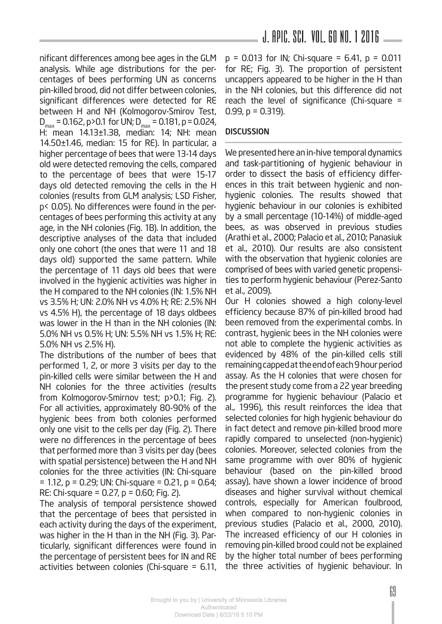nificant differences among bee ages in the GLM analysis. While age distributions for the percentages of bees performing UN as concerns pin-killed brood, did not differ between colonies, significant differences were detected for RE between H and NH (Kolmogorov-Smirov Test,  $D_{\text{max}} = 0.162$ , p > 0.1 for UN;  $D_{\text{max}} = 0.181$ , p = 0.024, H: mean 14.13±1.38, median: 14; NH: mean 14.50±1.46, median: 15 for RE). In particular, a higher percentage of bees that were 13-14 days old were detected removing the cells, compared to the percentage of bees that were 15-17 days old detected removing the cells in the H colonies (results from GLM analysis; LSD Fisher, p< 0.05). No differences were found in the percentages of bees performing this activity at any age, in the NH colonies (Fig. 1B). In addition, the descriptive analyses of the data that included only one cohort (the ones that were 11 and 18 days old) supported the same pattern. While the percentage of 11 days old bees that were involved in the hygienic activities was higher in the H compared to the NH colonies (IN: 1.5% NH vs 3.5% H; UN: 2.0% NH vs 4.0% H; RE: 2.5% NH vs 4.5% H), the percentage of 18 days oldbees was lower in the H than in the NH colonies (IN: 5.0% NH vs 0.5% H; UN: 5.5% NH vs 1.5% H; RE: 5.0% NH vs 2.5% H).

The distributions of the number of bees that performed 1, 2, or more 3 visits per day to the pin-killed cells were similar between the H and NH colonies for the three activities (results from Kolmogorov-Smirnov test; p>0.1; Fig. 2). For all activities, approximately 80-90% of the hygienic bees from both colonies performed only one visit to the cells per day (Fig. 2). There were no differences in the percentage of bees that performed more than 3 visits per day (bees with spatial persistence) between the H and NH colonies for the three activities (IN: Chi-square = 1.12, p = 0.29; UN: Chi-square = 0.21, p = 0.64; RE: Chi-square =  $0.27$ ,  $p = 0.60$ ; Fig. 2).

The analysis of temporal persistence showed that the percentage of bees that persisted in each activity during the days of the experiment, was higher in the H than in the NH (Fig. 3). Particularly, significant differences were found in the percentage of persistent bees for IN and RE activities between colonies (Chi-square = 6.11,

### J. APIC. SCI. Vol. 60 No. 1 2016

 $p = 0.013$  for IN; Chi-square = 6.41,  $p = 0.011$ for RE; Fig. 3). The proportion of persistent uncappers appeared to be higher in the H than in the NH colonies, but this difference did not reach the level of significance (Chi-square  $=$  $0.99$ ,  $p = 0.319$ ).

#### **DISCUSSION**

We presented here an in-hive temporal dynamics and task-partitioning of hygienic behaviour in order to dissect the basis of efficiency differences in this trait between hygienic and nonhygienic colonies. The results showed that hygienic behaviour in our colonies is exhibited by a small percentage (10-14%) of middle-aged bees, as was observed in previous studies (Arathi et al., 2000; Palacio et al., 2010; Panasiuk et al., 2010). Our results are also consistent with the observation that hygienic colonies are comprised of bees with varied genetic propensities to perform hygienic behaviour (Perez-Santo et al., 2009).

Our H colonies showed a high colony-level efficiency because 87% of pin-killed brood had been removed from the experimental combs. In contrast, hygienic bees in the NH colonies were not able to complete the hygienic activities as evidenced by 48% of the pin-killed cells still remaining capped at the end of each 9 hour period assay. As the H colonies that were chosen for the present study come from a 22 year breeding programme for hygienic behaviour (Palacio et al., 1996), this result reinforces the idea that selected colonies for high hygienic behaviour do in fact detect and remove pin-killed brood more rapidly compared to unselected (non-hygienic) colonies. Moreover, selected colonies from the same programme with over 80% of hygienic behaviour (based on the pin-killed brood assay), have shown a lower incidence of brood diseases and higher survival without chemical controls, especially for American foulbrood, when compared to non-hygienic colonies in previous studies (Palacio et al., 2000, 2010). The increased efficiency of our H colonies in removing pin-killed brood could not be explained by the higher total number of bees performing the three activities of hygienic behaviour. In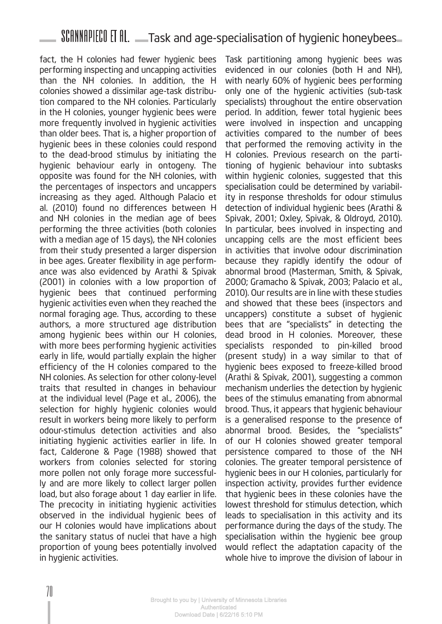fact, the H colonies had fewer hygienic bees performing inspecting and uncapping activities than the NH colonies. In addition, the H colonies showed a dissimilar age-task distribution compared to the NH colonies. Particularly in the H colonies, younger hygienic bees were more frequently involved in hygienic activities than older bees. That is, a higher proportion of hygienic bees in these colonies could respond to the dead-brood stimulus by initiating the hygienic behaviour early in ontogeny. The opposite was found for the NH colonies, with the percentages of inspectors and uncappers increasing as they aged. Although Palacio et al. (2010) found no differences between H and NH colonies in the median age of bees performing the three activities (both colonies with a median age of 15 days), the NH colonies from their study presented a larger dispersion in bee ages. Greater flexibility in age performance was also evidenced by Arathi & Spivak (2001) in colonies with a low proportion of hygienic bees that continued performing hygienic activities even when they reached the normal foraging age. Thus, according to these authors, a more structured age distribution among hygienic bees within our H colonies, with more bees performing hygienic activities early in life, would partially explain the higher efficiency of the H colonies compared to the NH colonies. As selection for other colony-level traits that resulted in changes in behaviour at the individual level (Page et al., 2006), the selection for highly hygienic colonies would result in workers being more likely to perform odour-stimulus detection activities and also initiating hygienic activities earlier in life. In fact, Calderone & Page (1988) showed that workers from colonies selected for storing more pollen not only forage more successfully and are more likely to collect larger pollen load, but also forage about 1 day earlier in life. The precocity in initiating hygienic activities observed in the individual hygienic bees of our H colonies would have implications about the sanitary status of nuclei that have a high proportion of young bees potentially involved in hygienic activities.

Task partitioning among hygienic bees was evidenced in our colonies (both H and NH), with nearly 60% of hygienic bees performing only one of the hygienic activities (sub-task specialists) throughout the entire observation period. In addition, fewer total hygienic bees were involved in inspection and uncapping activities compared to the number of bees that performed the removing activity in the H colonies. Previous research on the partitioning of hygienic behaviour into subtasks within hygienic colonies, suggested that this specialisation could be determined by variability in response thresholds for odour stimulus detection of individual hygienic bees (Arathi & Spivak, 2001; Oxley, Spivak, & Oldroyd, 2010). In particular, bees involved in inspecting and uncapping cells are the most efficient bees in activities that involve odour discrimination because they rapidly identify the odour of abnormal brood (Masterman, Smith, & Spivak, 2000; Gramacho & Spivak, 2003; Palacio et al., 2010). Our results are in line with these studies and showed that these bees (inspectors and uncappers) constitute a subset of hygienic bees that are "specialists" in detecting the dead brood in H colonies. Moreover, these specialists responded to pin-killed brood (present study) in a way similar to that of hygienic bees exposed to freeze-killed brood (Arathi & Spivak, 2001), suggesting a common mechanism underlies the detection by hygienic bees of the stimulus emanating from abnormal brood. Thus, it appears that hygienic behaviour is a generalised response to the presence of abnormal brood. Besides, the "specialists" of our H colonies showed greater temporal persistence compared to those of the NH colonies. The greater temporal persistence of hygienic bees in our H colonies, particularly for inspection activity, provides further evidence that hygienic bees in these colonies have the lowest threshold for stimulus detection, which leads to specialisation in this activity and its performance during the days of the study. The specialisation within the hygienic bee group would reflect the adaptation capacity of the whole hive to improve the division of labour in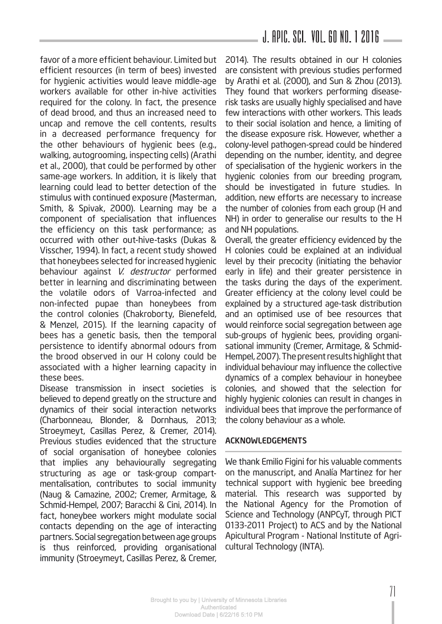favor of a more efficient behaviour. Limited but efficient resources (in term of bees) invested for hygienic activities would leave middle-age workers available for other in-hive activities required for the colony. In fact, the presence of dead brood, and thus an increased need to uncap and remove the cell contents, results in a decreased performance frequency for the other behaviours of hygienic bees (e.g., walking, autogrooming, inspecting cells) (Arathi et al., 2000), that could be performed by other same-age workers. In addition, it is likely that learning could lead to better detection of the stimulus with continued exposure (Masterman, Smith, & Spivak, 2000). Learning may be a component of specialisation that influences the efficiency on this task performance; as occurred with other out-hive-tasks (Dukas & Visscher, 1994). In fact, a recent study showed that honeybees selected for increased hygienic behaviour against V. destructor performed better in learning and discriminating between the volatile odors of Varroa-infected and non-infected pupae than honeybees from the control colonies (Chakroborty, Bienefeld, & Menzel, 2015). If the learning capacity of bees has a genetic basis, then the temporal persistence to identify abnormal odours from the brood observed in our H colony could be associated with a higher learning capacity in these bees.

Disease transmission in insect societies is believed to depend greatly on the structure and dynamics of their social interaction networks (Charbonneau, Blonder, & Dornhaus, 2013; Stroeymeyt, Casillas Perez, & Cremer, 2014). Previous studies evidenced that the structure of social organisation of honeybee colonies that implies any behaviourally segregating structuring as age or task-group compartmentalisation, contributes to social immunity (Naug & Camazine, 2002; Cremer, Armitage, & Schmid-Hempel, 2007; Baracchi & Cini, 2014). In fact, honeybee workers might modulate social contacts depending on the age of interacting partners. Social segregation between age groups is thus reinforced, providing organisational immunity (Stroeymeyt, Casillas Perez, & Cremer, 2014). The results obtained in our H colonies are consistent with previous studies performed by Arathi et al. (2000), and Sun & Zhou (2013). They found that workers performing diseaserisk tasks are usually highly specialised and have few interactions with other workers. This leads to their social isolation and hence, a limiting of the disease exposure risk. However, whether a colony-level pathogen-spread could be hindered depending on the number, identity, and degree of specialisation of the hygienic workers in the hygienic colonies from our breeding program, should be investigated in future studies. In addition, new efforts are necessary to increase the number of colonies from each group (H and NH) in order to generalise our results to the H and NH populations.

Overall, the greater efficiency evidenced by the H colonies could be explained at an individual level by their precocity (initiating the behavior early in life) and their greater persistence in the tasks during the days of the experiment. Greater efficiency at the colony level could be explained by a structured age-task distribution and an optimised use of bee resources that would reinforce social segregation between age sub-groups of hygienic bees, providing organisational immunity (Cremer, Armitage, & Schmid-Hempel, 2007). The present results highlight that individual behaviour may influence the collective dynamics of a complex behaviour in honeybee colonies, and showed that the selection for highly hygienic colonies can result in changes in individual bees that improve the performance of the colony behaviour as a whole.

#### ACKNOWLEDGEMENTS

We thank Emilio Figini for his valuable comments on the manuscript, and Analía Martinez for her technical support with hygienic bee breeding material. This research was supported by the National Agency for the Promotion of Science and Technology (ANPCyT, through PICT 0133-2011 Project) to ACS and by the National Apicultural Program - National Institute of Agricultural Technology (INTA).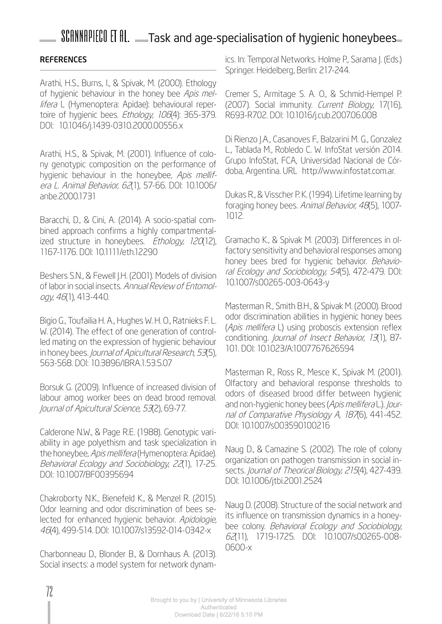#### **REFERENCES**

Arathi, H.S., Burns, I., & Spivak, M. (2000). Ethology of hygienic behaviour in the honey bee Apis mellifera L (Hymenoptera: Apidae): behavioural repertoire of hygienic bees. Ethology, 106(4): 365-379. DOI: 10.1046/j.1439-0310.2000.00556.x

Arathi, H.S., & Spivak, M. (2001). Influence of colony genotypic composition on the performance of hygienic behaviour in the honeybee, Apis mellifera L. Animal Behavior, 62(1), 57-66. DOI: 10.1006/ anbe.2000.1731

Baracchi, D., & Cini, A. (2014). A socio-spatial combined approach confirms a highly compartmentalized structure in honeybees. Ethology, 120(12), 1167-1176. DOI: 10.1111/eth.12290

Beshers S.N., & Fewell J.H. (2001). Models of division of labor in social insects. Annual Review of Entomology, 46(1), 413-440.

Bigio G., Toufailia H. A., Hughes W. H. O., Ratnieks F. L. W. (2014). The effect of one generation of controlled mating on the expression of hygienic behaviour in honey bees. Journal of Apicultural Research, 53(5), 563-568. DOI: 10.3896/IBRA.1.53.5.07

Borsuk G. (2009). Influence of increased division of labour amog worker bees on dead brood removal. Journal of Apicultural Science, 53(2), 69-77.

Calderone N.W., & Page R.E. (1988). Genotypic variability in age polyethism and task specialization in the honeybee, Apis mellifera (Hymenoptera: Apidae). Behavioral Ecology and Sociobiology, 22(1), 17-25. DOI: 10.1007/BF00395694

Chakroborty N.K., Bienefeld K., & Menzel R. (2015). Odor learning and odor discrimination of bees selected for enhanced hygienic behavior. Apidologie, 46(4), 499-514. DOI: 10.1007/s13592-014-0342-x

Charbonneau D., Blonder B., & Dornhaus A. (2013). Social insects: a model system for network dynamics. In: Temporal Networks. Holme P., Sarama J. (Eds.) Springer. Heidelberg, Berlin: 217-244.

Cremer S., Armitage S. A. O., & Schmid-Hempel P. (2007). Social immunity. Current Biology, 17(16), R693-R702. DOI: 10.1016/j.cub.2007.06.008

Di Rienzo J.A., Casanoves F., Balzarini M. G., Gonzalez L., Tablada M., Robledo C. W. InfoStat versión 2014. Grupo InfoStat, FCA, Universidad Nacional de Córdoba, Argentina. URL http://www.infostat.com.ar.

Dukas R., & Visscher P. K. (1994). Lifetime learning by foraging honey bees. Animal Behavior, 48(5), 1007-1012.

Gramacho K., & Spivak M. (2003). Differences in olfactory sensitivity and behavioral responses among honey bees bred for hygienic behavior. Behavioral Ecology and Sociobiology, 54(5), 472-479. DOI: 10.1007/s00265-003-0643-y

Masterman R., Smith B.H., & Spivak M. (2000). Brood odor discrimination abilities in hygienic honey bees (Apis mellifera L) using proboscis extension reflex conditioning. Journal of Insect Behavior, 13(1), 87-101. DOI: 10.1023/A:1007767626594

Masterman R., Ross R., Mesce K., Spivak M. (2001). Olfactory and behavioral response thresholds to odors of diseased brood differ between hygienic and non-hygienic honey bees (Apis mellifera L.). Journal of Comparative Physiology A, 1876), 441-452. DOI: 10.1007/s003590100216

Naug D., & Camazine S. (2002). The role of colony organization on pathogen transmission in social insects. Journal of Theorical Biology, 215(4), 427-439. DOI: 10.1006/jtbi.2001.2524

Naug D. (2008). Structure of the social network and its influence on transmission dynamics in a honeybee colony. Behavioral Ecology and Sociobiology, 62(11), 1719-1725. DOI: 10.1007/s00265-008- 0600-x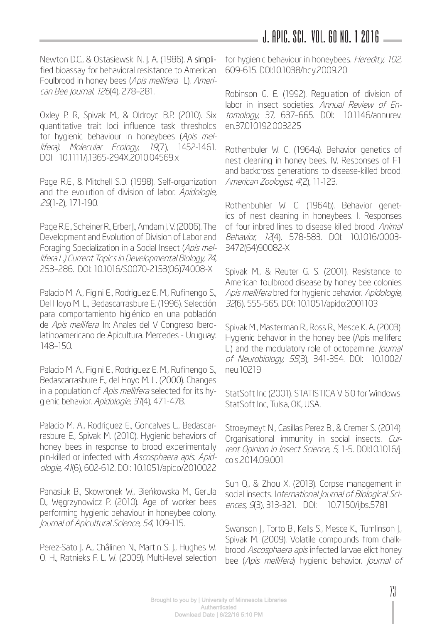### J. APIC. SCI. Vol. 60 No. 1 2016

Newton D.C., & Ostasiewski N. J. A. (1986). A simplified bioassay for behavioral resistance to American Foulbrood in honey bees (Apis mellifera L). American Bee Journal, 126(4), 278–281.

Oxley P. R, Spivak M., & Oldroyd B.P. (2010). Six quantitative trait loci influence task thresholds for hygienic behaviour in honeybees (Apis mellifera). Molecular Ecology, 19(7), 1452-1461. DOI: 10.1111/j.1365-294X.2010.04569.x

Page R.E., & Mitchell S.D. (1998). Self-organization and the evolution of division of labor. Apidologie, 29(1-2), 171-190.

Page R.E., Scheiner R., Erber J., Amdam J. V. (2006). The Development and Evolution of Division of Labor and Foraging Specialization in a Social Insect (Apis mellifera L.) Current Topics in Developmental Biology, 74, 253–286. DOI: 10.1016/S0070-2153(06)74008-X

Palacio M. A., Figini E., Rodriguez E. M., Rufinengo S., Del Hoyo M. L., Bedascarrasbure E. (1996). Selección para comportamiento higiénico en una población de Apis mellifera. In: Anales del V Congreso Iberolatinoamericano de Apicultura. Mercedes - Uruguay: 148–150.

Palacio M. A., Figini E., Rodriguez E. M., Rufinengo S., Bedascarrasbure E., del Hoyo M. L. (2000). Changes in a population of Apis mellifera selected for its hygienic behavior. Apidologie, 31(4), 471-478.

Palacio M. A., Rodriguez E., Goncalves L., Bedascarrasbure E., Spivak M. (2010). Hygienic behaviors of honey bees in response to brood experimentally pin-killed or infected with Ascosphaera apis. Apidologie, 41(6), 602-612. DOI: 10.1051/apido/2010022

Panasiuk B., Skowronek W., Bieńkowska M., Gerula D., Węgrzynowicz P. (2010). Age of worker bees performing hygienic behaviour in honeybee colony. Journal of Apicultural Science, 54, 109-115.

Perez-Sato J. A., Châlinen N., Martin S. J., Hughes W. O. H., Ratnieks F. L. W. (2009). Multi-level selection for hygienic behaviour in honeybees. Heredity, 102, 609-615. DOI:10.1038/hdy.2009.20

Robinson G. E. (1992). Regulation of division of labor in insect societies. Annual Review of Entomology, 37, 637–665. DOI: 10.1146/annurev. en.37.010192.003225

Rothenbuler W. C. (1964a). Behavior genetics of nest cleaning in honey bees. IV. Responses of F1 and backcross generations to disease-killed brood. American Zoologist, 4(2), 11-123.

Rothenbuhler W. C. (1964b). Behavior genetics of nest cleaning in honeybees. I. Responses of four inbred lines to disease killed brood. Animal Behavior, 12(4), 578-583. DOI: 10.1016/0003- 3472(64)90082-X

Spivak M., & Reuter G. S. (2001). Resistance to American foulbrood disease by honey bee colonies Apis mellifera bred for hygienic behavior. Apidologie, 32(6), 555-565. DOI: 10.1051/apido:2001103

Spivak M., Masterman R., Ross R., Mesce K. A. (2003). Hygienic behavior in the honey bee (Apis mellifera L.) and the modulatory role of octopamine. *Journal* of Neurobiology, 55(3), 341-354. DOI: 10.1002/ neu.10219

StatSoft Inc (2001). STATISTICA V 6.0 for Windows. StatSoft Inc, Tulsa, OK, USA.

Stroeymeyt N., Casillas Perez B., & Cremer S. (2014). Organisational immunity in social insects. Current Opinion in Insect Science, 5, 1-5. DOI:10.1016/j. cois.2014.09.001

Sun Q., & Zhou X. (2013). Corpse management in social insects. International Journal of Biological Sciences, 9(3), 313-321. DOI: 10.7150/ijbs.5781

Swanson J., Torto B., Kells S., Mesce K., Tumlinson J., Spivak M. (2009). Volatile compounds from chalkbrood Ascosphaera apis infected larvae elict honey bee (Apis mellifera) hygienic behavior. Journal of